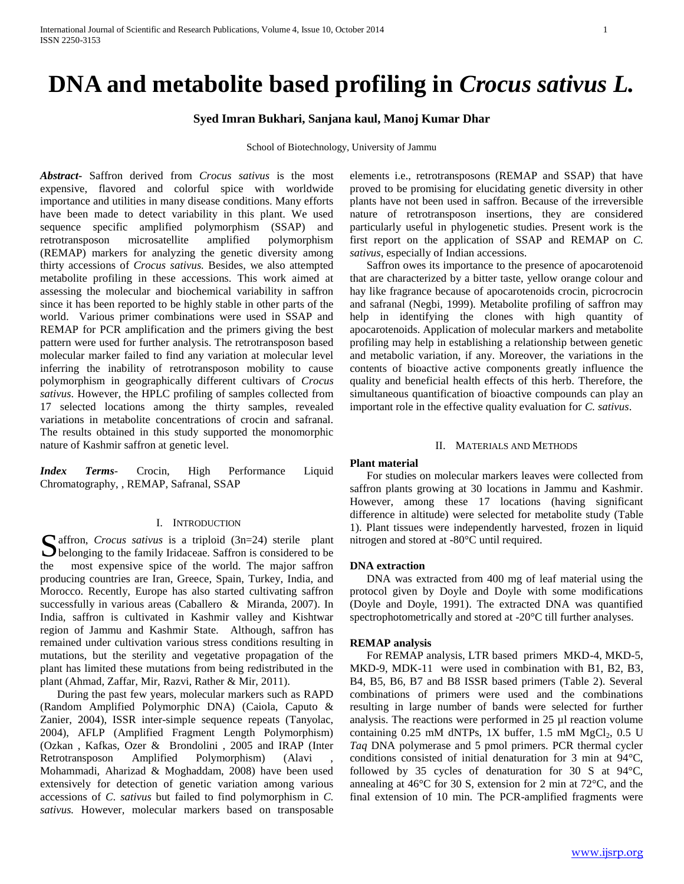# **DNA and metabolite based profiling in** *Crocus sativus L.*

## **Syed Imran Bukhari, Sanjana kaul, Manoj Kumar Dhar**

School of Biotechnology, University of Jammu

*Abstract***-** Saffron derived from *Crocus sativus* is the most expensive, flavored and colorful spice with worldwide importance and utilities in many disease conditions. Many efforts have been made to detect variability in this plant. We used sequence specific amplified polymorphism (SSAP) and retrotransposon microsatellite amplified polymorphism (REMAP) markers for analyzing the genetic diversity among thirty accessions of *Crocus sativus.* Besides, we also attempted metabolite profiling in these accessions. This work aimed at assessing the molecular and biochemical variability in saffron since it has been reported to be highly stable in other parts of the world. Various primer combinations were used in SSAP and REMAP for PCR amplification and the primers giving the best pattern were used for further analysis. The retrotransposon based molecular marker failed to find any variation at molecular level inferring the inability of retrotransposon mobility to cause polymorphism in geographically different cultivars of *Crocus sativus*. However, the HPLC profiling of samples collected from 17 selected locations among the thirty samples, revealed variations in metabolite concentrations of crocin and safranal. The results obtained in this study supported the monomorphic nature of Kashmir saffron at genetic level.

*Index Terms*- Crocin, High Performance Liquid Chromatography, , REMAP, Safranal, SSAP

## I. INTRODUCTION

affron, *Crocus sativus* is a triploid (3n=24) sterile plant Saffron, *Crocus sativus* is a triploid (3n=24) sterile plant belonging to the family Iridaceae. Saffron is considered to be the most expensive spice of the world. The major saffron producing countries are Iran, Greece, Spain, Turkey, India, and Morocco. Recently, Europe has also started cultivating saffron successfully in various areas (Caballero & Miranda, 2007). In India, saffron is cultivated in Kashmir valley and Kishtwar region of Jammu and Kashmir State. Although, saffron has remained under cultivation various stress conditions resulting in mutations, but the sterility and vegetative propagation of the plant has limited these mutations from being redistributed in the plant (Ahmad, Zaffar, Mir, Razvi, Rather & Mir, 2011).

 During the past few years, molecular markers such as RAPD (Random Amplified Polymorphic DNA) (Caiola, Caputo & Zanier, 2004), ISSR inter-simple sequence repeats (Tanyolac, 2004), AFLP (Amplified Fragment Length Polymorphism) (Ozkan , Kafkas, Ozer & Brondolini , 2005 and IRAP (Inter Retrotransposon Amplified Polymorphism) (Alavi Mohammadi, Aharizad & Moghaddam, 2008) have been used extensively for detection of genetic variation among various accessions of *C*. *sativus* but failed to find polymorphism in *C. sativus.* However*,* molecular markers based on transposable

elements i.e., retrotransposons (REMAP and SSAP) that have proved to be promising for elucidating genetic diversity in other plants have not been used in saffron. Because of the irreversible nature of retrotransposon insertions, they are considered particularly useful in phylogenetic studies. Present work is the first report on the application of SSAP and REMAP on *C. sativus*, especially of Indian accessions.

 Saffron owes its importance to the presence of apocarotenoid that are characterized by a bitter taste, yellow orange colour and hay like fragrance because of apocarotenoids crocin, picrocrocin and safranal (Negbi, 1999). Metabolite profiling of saffron may help in identifying the clones with high quantity of apocarotenoids. Application of molecular markers and metabolite profiling may help in establishing a relationship between genetic and metabolic variation, if any. Moreover, the variations in the contents of bioactive active components greatly influence the quality and beneficial health effects of this herb. Therefore, the simultaneous quantification of bioactive compounds can play an important role in the effective quality evaluation for *C. sativus*.

## II. MATERIALS AND METHODS

## **Plant material**

 For studies on molecular markers leaves were collected from saffron plants growing at 30 locations in Jammu and Kashmir*.* However, among these 17 locations (having significant difference in altitude) were selected for metabolite study (Table 1). Plant tissues were independently harvested, frozen in liquid nitrogen and stored at -80°C until required.

## **DNA extraction**

 DNA was extracted from 400 mg of leaf material using the protocol given by Doyle and Doyle with some modifications (Doyle and Doyle, 1991). The extracted DNA was quantified spectrophotometrically and stored at -20°C till further analyses.

## **REMAP analysis**

 For REMAP analysis, LTR based primers MKD-4, MKD-5, MKD-9, MDK-11 were used in combination with B1, B2, B3, B4, B5, B6, B7 and B8 ISSR based primers (Table 2). Several combinations of primers were used and the combinations resulting in large number of bands were selected for further analysis. The reactions were performed in 25 µl reaction volume containing  $0.25$  mM dNTPs, 1X buffer, 1.5 mM  $MgCl<sub>2</sub>$ , 0.5 U *Taq* DNA polymerase and 5 pmol primers. PCR thermal cycler conditions consisted of initial denaturation for 3 min at 94°C, followed by 35 cycles of denaturation for 30 S at 94°C, annealing at 46°C for 30 S, extension for 2 min at 72°C, and the final extension of 10 min. The PCR-amplified fragments were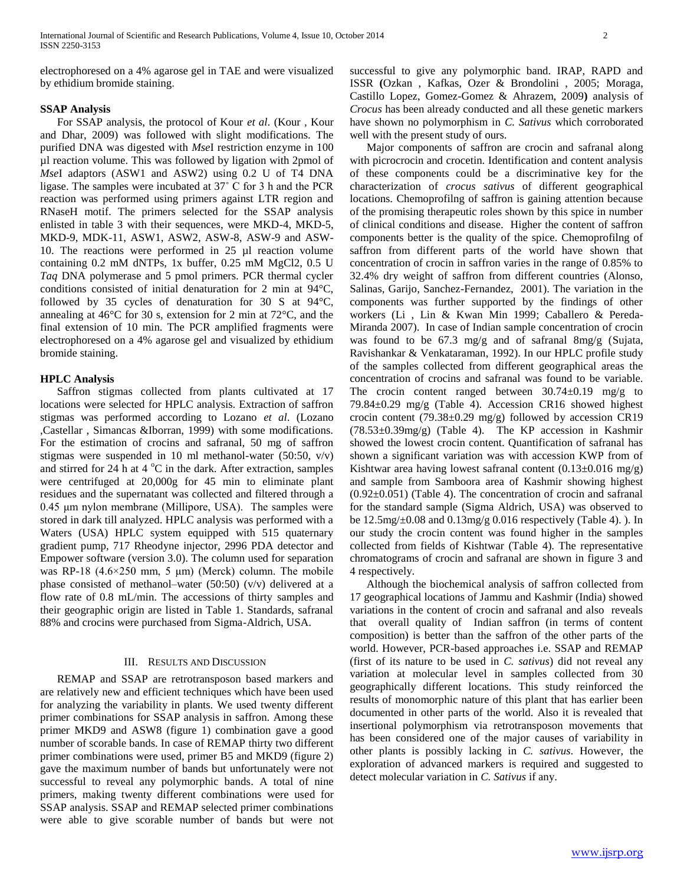electrophoresed on a 4% agarose gel in TAE and were visualized by ethidium bromide staining.

## **SSAP Analysis**

 For SSAP analysis, the protocol of Kour *et al*. (Kour *,* Kour and Dhar, 2009) was followed with slight modifications. The purified DNA was digested with *Mse*I restriction enzyme in 100 µl reaction volume. This was followed by ligation with 2pmol of *Mse*I adaptors (ASW1 and ASW2) using 0.2 U of T4 DNA ligase. The samples were incubated at 37˚ C for 3 h and the PCR reaction was performed using primers against LTR region and RNaseH motif. The primers selected for the SSAP analysis enlisted in table 3 with their sequences, were MKD-4, MKD-5, MKD-9, MDK-11, ASW1, ASW2, ASW-8, ASW-9 and ASW-10. The reactions were performed in 25 µl reaction volume containing 0.2 mM dNTPs, 1x buffer, 0.25 mM MgCl2, 0.5 U *Taq* DNA polymerase and 5 pmol primers. PCR thermal cycler conditions consisted of initial denaturation for 2 min at 94°C, followed by 35 cycles of denaturation for 30 S at 94°C, annealing at 46°C for 30 s, extension for 2 min at 72°C, and the final extension of 10 min. The PCR amplified fragments were electrophoresed on a 4% agarose gel and visualized by ethidium bromide staining.

## **HPLC Analysis**

 Saffron stigmas collected from plants cultivated at 17 locations were selected for HPLC analysis. Extraction of saffron stigmas was performed according to Lozano *et al*. (Lozano ,Castellar , Simancas &Iborran, 1999) with some modifications. For the estimation of crocins and safranal, 50 mg of saffron stigmas were suspended in 10 ml methanol-water (50:50,  $v/v$ ) and stirred for 24 h at  $4^{\circ}$ C in the dark. After extraction, samples were centrifuged at 20,000g for 45 min to eliminate plant residues and the supernatant was collected and filtered through a 0.45 μm nylon membrane (Millipore, USA). The samples were stored in dark till analyzed. HPLC analysis was performed with a Waters (USA) HPLC system equipped with 515 quaternary gradient pump, 717 Rheodyne injector, 2996 PDA detector and Empower software (version 3.0). The column used for separation was RP-18  $(4.6 \times 250 \text{ mm}, 5 \text{ \mu m})$  (Merck) column. The mobile phase consisted of methanol–water (50:50) (v/v) delivered at a flow rate of 0.8 mL/min. The accessions of thirty samples and their geographic origin are listed in Table 1. Standards, safranal 88% and crocins were purchased from Sigma-Aldrich, USA.

## III. RESULTS AND DISCUSSION

 REMAP and SSAP are retrotransposon based markers and are relatively new and efficient techniques which have been used for analyzing the variability in plants. We used twenty different primer combinations for SSAP analysis in saffron. Among these primer MKD9 and ASW8 (figure 1) combination gave a good number of scorable bands. In case of REMAP thirty two different primer combinations were used, primer B5 and MKD9 (figure 2) gave the maximum number of bands but unfortunately were not successful to reveal any polymorphic bands. A total of nine primers, making twenty different combinations were used for SSAP analysis. SSAP and REMAP selected primer combinations were able to give scorable number of bands but were not successful to give any polymorphic band. IRAP, RAPD and ISSR **(**Ozkan , Kafkas, Ozer & Brondolini , 2005; Moraga, Castillo Lopez, Gomez-Gomez & Ahrazem, 2009**)** analysis of *Crocus* has been already conducted and all these genetic markers have shown no polymorphism in *C. Sativus* which corroborated well with the present study of ours.

 Major components of saffron are crocin and safranal along with picrocrocin and crocetin. Identification and content analysis of these components could be a discriminative key for the characterization of *crocus sativus* of different geographical locations. Chemoprofilng of saffron is gaining attention because of the promising therapeutic roles shown by this spice in number of clinical conditions and disease. Higher the content of saffron components better is the quality of the spice. Chemoprofilng of saffron from different parts of the world have shown that concentration of crocin in saffron varies in the range of 0.85% to 32.4% dry weight of saffron from different countries (Alonso, Salinas, Garijo, Sanchez-Fernandez, 2001). The variation in the components was further supported by the findings of other workers (Li , Lin & Kwan Min 1999; Caballero & Pereda-Miranda 2007). In case of Indian sample concentration of crocin was found to be 67.3 mg/g and of safranal 8mg/g (Sujata, Ravishankar & Venkataraman, 1992). In our HPLC profile study of the samples collected from different geographical areas the concentration of crocins and safranal was found to be variable. The crocin content ranged between  $30.74 \pm 0.19$  mg/g to 79.84±0.29 mg/g (Table 4). Accession CR16 showed highest crocin content (79.38±0.29 mg/g) followed by accession CR19 (78.53±0.39mg/g) (Table 4). The KP accession in Kashmir showed the lowest crocin content. Quantification of safranal has shown a significant variation was with accession KWP from of Kishtwar area having lowest safranal content  $(0.13\pm0.016 \text{ mg/g})$ and sample from Samboora area of Kashmir showing highest (0.92±0.051) (Table 4). The concentration of crocin and safranal for the standard sample (Sigma Aldrich, USA) was observed to be 12.5mg/±0.08 and 0.13mg/g 0.016 respectively (Table 4). ). In our study the crocin content was found higher in the samples collected from fields of Kishtwar (Table 4). The representative chromatograms of crocin and safranal are shown in figure 3 and 4 respectively.

 Although the biochemical analysis of saffron collected from 17 geographical locations of Jammu and Kashmir (India) showed variations in the content of crocin and safranal and also reveals that overall quality of Indian saffron (in terms of content composition) is better than the saffron of the other parts of the world. However, PCR-based approaches i.e. SSAP and REMAP (first of its nature to be used in *C. sativus*) did not reveal any variation at molecular level in samples collected from 30 geographically different locations. This study reinforced the results of monomorphic nature of this plant that has earlier been documented in other parts of the world. Also it is revealed that insertional polymorphism via retrotransposon movements that has been considered one of the major causes of variability in other plants is possibly lacking in *C. sativus*. However, the exploration of advanced markers is required and suggested to detect molecular variation in *C. Sativus* if any.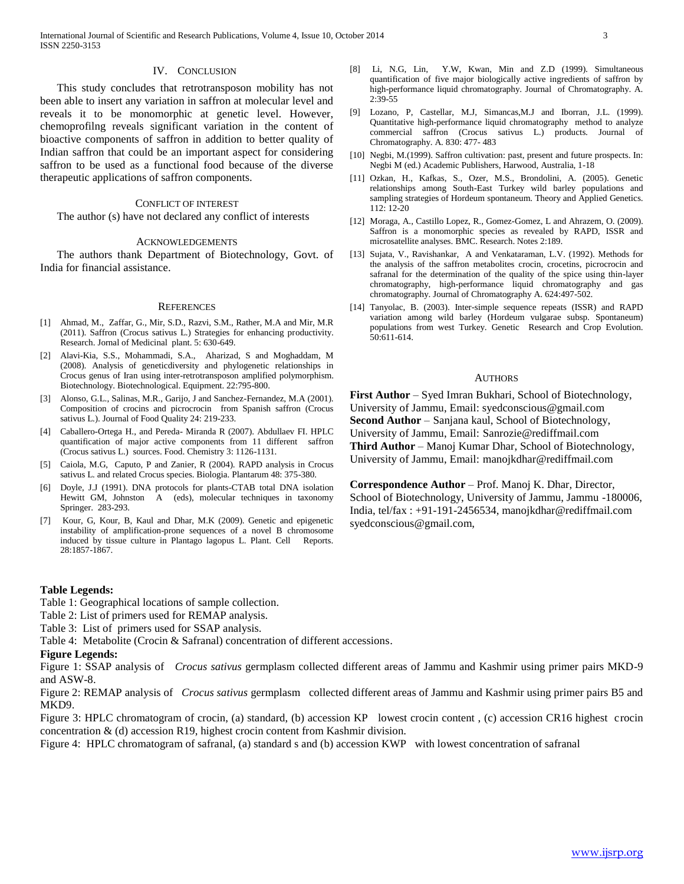## IV. CONCLUSION

 This study concludes that retrotransposon mobility has not been able to insert any variation in saffron at molecular level and reveals it to be monomorphic at genetic level. However, chemoprofilng reveals significant variation in the content of bioactive components of saffron in addition to better quality of Indian saffron that could be an important aspect for considering saffron to be used as a functional food because of the diverse therapeutic applications of saffron components.

#### CONFLICT OF INTEREST

The author (s) have not declared any conflict of interests

#### ACKNOWLEDGEMENTS

 The authors thank Department of Biotechnology, Govt. of India for financial assistance.

#### **REFERENCES**

- [1] Ahmad, M., Zaffar, G., Mir, S.D., Razvi, S.M., Rather, M.A and Mir, M.R (2011). Saffron (Crocus sativus L.) Strategies for enhancing productivity. Research. Jornal of Medicinal plant. 5: 630-649.
- [2] Alavi-Kia, S.S., Mohammadi, S.A., Aharizad, S and Moghaddam, M (2008). Analysis of geneticdiversity and phylogenetic relationships in Crocus genus of Iran using inter-retrotransposon amplified polymorphism. Biotechnology. Biotechnological. Equipment. 22:795-800.
- [3] Alonso, G.L., Salinas, M.R., Garijo, J and Sanchez-Fernandez, M.A (2001). Composition of crocins and picrocrocin from Spanish saffron (Crocus sativus L.). Journal of Food Quality 24: 219-233.
- [4] Caballero-Ortega H., and Pereda- Miranda R (2007). Abdullaev FI. HPLC quantification of major active components from 11 different saffron (Crocus sativus L.) sources. Food. Chemistry 3: 1126-1131.
- [5] Caiola, M.G, Caputo, P and Zanier, R (2004). RAPD analysis in Crocus sativus L. and related Crocus species. Biologia. Plantarum 48: 375-380.
- [6] Doyle, J.J (1991). DNA protocols for plants-CTAB total DNA isolation Hewitt GM, Johnston A (eds), molecular techniques in taxonomy Springer. 283-293.
- [7] Kour, G, Kour, B, Kaul and Dhar, M.K (2009). Genetic and epigenetic instability of amplification-prone sequences of a novel B chromosome induced by tissue culture in Plantago lagopus L. Plant. Cell Reports. 28:1857-1867.

## **Table Legends:**

Table 1: Geographical locations of sample collection.

- Table 2: List of primers used for REMAP analysis.
- Table 3: List of primers used for SSAP analysis.
- Table 4: Metabolite (Crocin & Safranal) concentration of different accessions.

#### **Figure Legends:**

Figure 1: SSAP analysis of *Crocus sativus* germplasm collected different areas of Jammu and Kashmir using primer pairs MKD-9 and ASW-8.

Figure 2: REMAP analysis of *Crocus sativus* germplasm collected different areas of Jammu and Kashmir using primer pairs B5 and MKD9.

Figure 3: HPLC chromatogram of crocin, (a) standard, (b) accession KP lowest crocin content , (c) accession CR16 highest crocin concentration & (d) accession R19, highest crocin content from Kashmir division.

Figure 4: HPLC chromatogram of safranal, (a) standard s and (b) accession KWP with lowest concentration of safranal

- [8] Li, N.G, Lin, Y.W, Kwan, Min and Z.D (1999). Simultaneous quantification of five major biologically active ingredients of saffron by high-performance liquid chromatography. Journal of Chromatography. A. 2:39-55
- [9] Lozano, P, Castellar, M.J, Simancas,M.J and Iborran, J.L. (1999). Quantitative high-performance liquid chromatography method to analyze commercial saffron (Crocus sativus L.) products. Journal of Chromatography. A. 830: 477- 483
- [10] Negbi, M.(1999). Saffron cultivation: past, present and future prospects. In: Negbi M (ed.) Academic Publishers, Harwood, Australia, 1-18
- [11] Ozkan, H., Kafkas, S., Ozer, M.S., Brondolini, A. (2005). Genetic relationships among South-East Turkey wild barley populations and sampling strategies of Hordeum spontaneum. Theory and Applied Genetics. 112: 12-20
- [12] Moraga, A., Castillo Lopez, R., Gomez-Gomez, L and Ahrazem, O. (2009). Saffron is a monomorphic species as revealed by RAPD, ISSR and microsatellite analyses. BMC. Research. Notes 2:189.
- [13] Sujata, V., Ravishankar, A and Venkataraman, L.V. (1992). Methods for the analysis of the saffron metabolites crocin, crocetins, picrocrocin and safranal for the determination of the quality of the spice using thin-layer chromatography, high-performance liquid chromatography and gas chromatography. Journal of Chromatography A. 624:497-502.
- [14] Tanyolac, B. (2003). Inter-simple sequence repeats (ISSR) and RAPD variation among wild barley (Hordeum vulgarae subsp. Spontaneum) populations from west Turkey. Genetic Research and Crop Evolution. 50:611-614.

#### **AUTHORS**

**First Author** – Syed Imran Bukhari, School of Biotechnology, University of Jammu, Email: syedconscious@gmail.com **Second Author** – Sanjana kaul, School of Biotechnology, University of Jammu, Email: Sanrozie@rediffmail.com **Third Author** – Manoj Kumar Dhar, School of Biotechnology, University of Jammu, Email: manojkdhar@rediffmail.com

**Correspondence Author** – Prof. Manoj K. Dhar, Director, School of Biotechnology, University of Jammu, Jammu -180006, India, tel/fax : +91-191-2456534, manojkdhar@rediffmail.com syedconscious@gmail.com,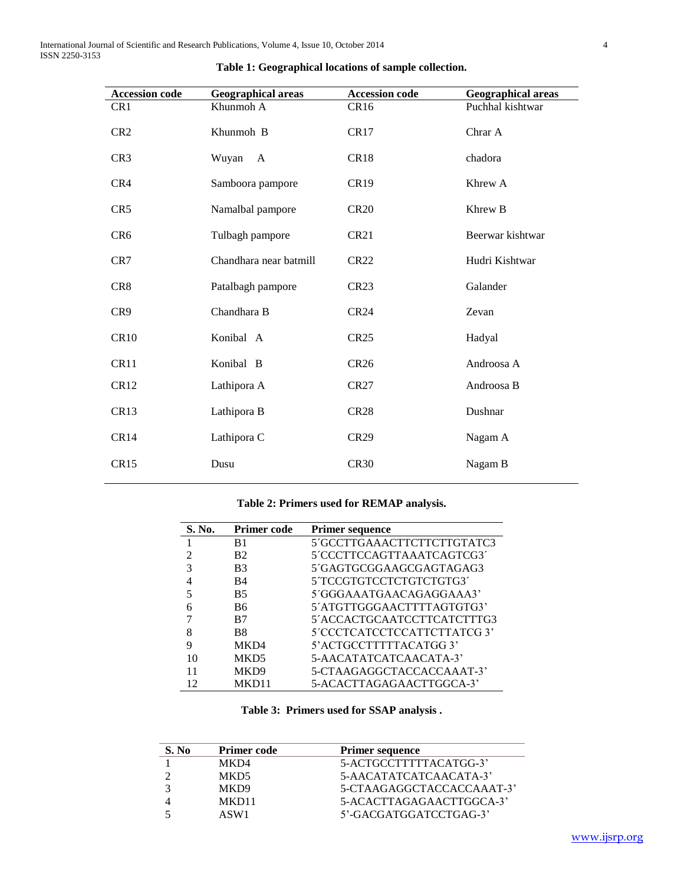| <b>Accession code</b> | <b>Geographical areas</b> | <b>Accession code</b> | <b>Geographical areas</b> |
|-----------------------|---------------------------|-----------------------|---------------------------|
| CR <sub>1</sub>       | Khunmoh A                 | CR <sub>16</sub>      | Puchhal kishtwar          |
| CR <sub>2</sub>       | Khunmoh B                 | CR17                  | Chrar A                   |
| CR <sub>3</sub>       | Wuyan<br>$\mathbf{A}$     | CR <sub>18</sub>      | chadora                   |
| CR4                   | Samboora pampore          | CR <sub>19</sub>      | Khrew A                   |
| CR <sub>5</sub>       | Namalbal pampore          | <b>CR20</b>           | Khrew B                   |
| CR <sub>6</sub>       | Tulbagh pampore           | CR21                  | Beerwar kishtwar          |
| CR7                   | Chandhara near batmill    | <b>CR22</b>           | Hudri Kishtwar            |
| CR <sub>8</sub>       | Patalbagh pampore         | CR <sub>23</sub>      | Galander                  |
| CR <sub>9</sub>       | Chandhara B               | CR24                  | Zevan                     |
| CR10                  | Konibal A                 | <b>CR25</b>           | Hadyal                    |
| CR <sub>11</sub>      | Konibal B                 | <b>CR26</b>           | Androosa A                |
| CR <sub>12</sub>      | Lathipora A               | <b>CR27</b>           | Androosa B                |
| CR <sub>13</sub>      | Lathipora B               | <b>CR28</b>           | Dushnar                   |
| CR14                  | Lathipora C               | <b>CR29</b>           | Nagam A                   |
| CR15                  | Dusu                      | <b>CR30</b>           | Nagam B                   |

|  |  |  |  | Table 1: Geographical locations of sample collection. |
|--|--|--|--|-------------------------------------------------------|
|  |  |  |  |                                                       |

## **Table 2: Primers used for REMAP analysis.**

| S. No. | <b>Primer code</b> | <b>Primer sequence</b>      |
|--------|--------------------|-----------------------------|
|        | B <sub>1</sub>     | 5'GCCTTGAAACTTCTTCTTGTATC3  |
| 2      | B <sub>2</sub>     | 5'CCCTTCCAGTTAAATCAGTCG3'   |
| 3      | B <sub>3</sub>     | 5´GAGTGCGGAAGCGAGTAGAG3     |
| 4      | B4                 | 5 TCCGTGTCCTCTGTCTGTG3      |
|        | <b>B5</b>          | 5'GGGAAATGAACAGAGGAAA3'     |
|        | B6                 | 5'ATGTTGGGAACTTTTAGTGTG3'   |
|        | B7                 | 5'ACCACTGCAATCCTTCATCTTTG3  |
| 8      | B <sub>8</sub>     | 5'CCCTCATCCTCCATTCTTATCG 3' |
| 9      | MK <sub>D</sub> 4  | 5' ACTGCCTTTTTACATGG 3'     |
| 10     | MKD <sub>5</sub>   | 5-AACATATCATCAACATA-3       |
|        | MK <sub>D</sub> 9  | 5-CTAAGAGGCTACCACCAAAT-3'   |
|        | MKD11              | 5-ACACTTAGAGAACTTGGCA-3'    |

|  | Table 3: Primers used for SSAP analysis. |  |  |  |  |
|--|------------------------------------------|--|--|--|--|
|--|------------------------------------------|--|--|--|--|

| S. No | <b>Primer code</b> | <b>Primer sequence</b>    |
|-------|--------------------|---------------------------|
|       | MKD4               | 5-ACTGCCTTTTTACATGG-3'    |
|       | MKD5               | 5-AACATATCATCAACATA-3     |
|       | MKD9               | 5-CTAAGAGGCTACCACCAAAT-3' |
|       | MKD11              | 5-ACACTTAGAGAACTTGGCA-3'  |
|       | ASW1               | 5'-GACGATGGATCCTGAG-3'    |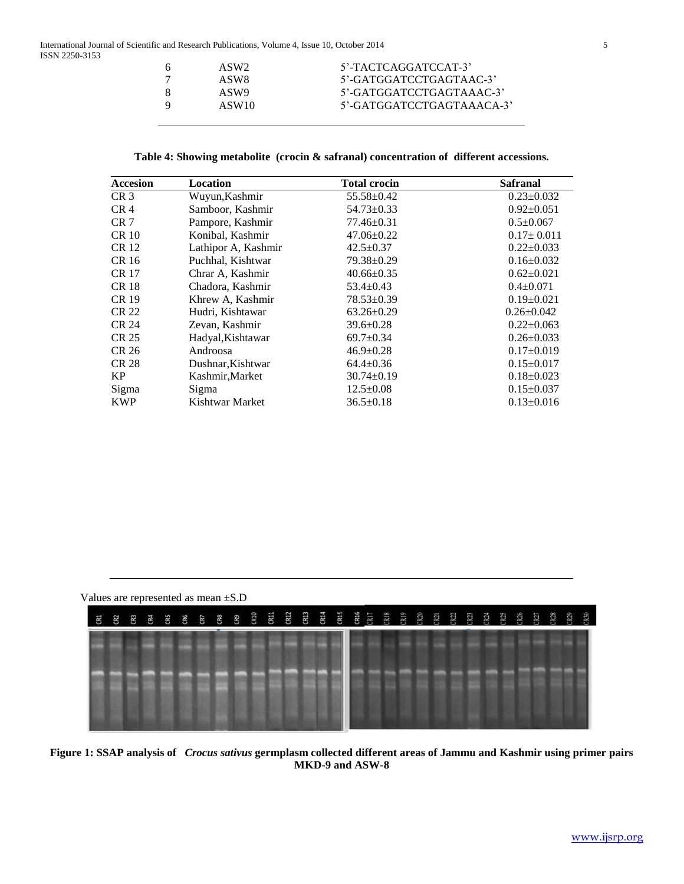| 5'-TACTCAGGATCCAT-3'<br>ASW <sub>2</sub>       |  |
|------------------------------------------------|--|
| 5'-GATGGATCCTGAGTAAC-3'<br>ASW8                |  |
| 5'-GATGGATCCTGAGTAAAC-3'<br>ASW9<br>X          |  |
| 5'-GATGGATCCTGAGTAAACA-3'<br>ASW <sub>10</sub> |  |

| <b>Accesion</b> | <b>Location</b>     | <b>Total crocin</b> | <b>Safranal</b>  |
|-----------------|---------------------|---------------------|------------------|
| CR <sub>3</sub> | Wuyun, Kashmir      | $55.58 \pm 0.42$    | $0.23 \pm 0.032$ |
| CR <sub>4</sub> | Samboor, Kashmir    | $54.73 \pm 0.33$    | $0.92 \pm 0.051$ |
| CR <sub>7</sub> | Pampore, Kashmir    | $77.46 \pm 0.31$    | $0.5 \pm 0.067$  |
| <b>CR 10</b>    | Konibal, Kashmir    | $47.06 \pm 0.22$    | $0.17 \pm 0.011$ |
| CR 12           | Lathipor A, Kashmir | $42.5 \pm 0.37$     | $0.22 \pm 0.033$ |
| CR 16           | Puchhal, Kishtwar   | $79.38 \pm 0.29$    | $0.16 \pm 0.032$ |
| <b>CR 17</b>    | Chrar A, Kashmir    | $40.66 \pm 0.35$    | $0.62 \pm 0.021$ |
| <b>CR18</b>     | Chadora, Kashmir    | $53.4 \pm 0.43$     | $0.4 \pm 0.071$  |
| CR 19           | Khrew A, Kashmir    | $78.53 \pm 0.39$    | $0.19 \pm 0.021$ |
| <b>CR 22</b>    | Hudri, Kishtawar    | $63.26 \pm 0.29$    | $0.26 \pm 0.042$ |
| CR 24           | Zevan, Kashmir      | $39.6 \pm 0.28$     | $0.22 \pm 0.063$ |
| CR 25           | Hadyal, Kishtawar   | $69.7 \pm 0.34$     | $0.26 \pm 0.033$ |
| CR 26           | Androosa            | $46.9 \pm 0.28$     | $0.17 \pm 0.019$ |
| <b>CR 28</b>    | Dushnar, Kishtwar   | $64.4 \pm 0.36$     | $0.15 \pm 0.017$ |
| KP              | Kashmir, Market     | $30.74 \pm 0.19$    | $0.18 \pm 0.023$ |
| Sigma           | Sigma               | $12.5 \pm 0.08$     | $0.15 \pm 0.037$ |
| <b>KWP</b>      | Kishtwar Market     | $36.5 \pm 0.18$     | $0.13 \pm 0.016$ |



**Figure 1: SSAP analysis of** *Crocus sativus* **germplasm collected different areas of Jammu and Kashmir using primer pairs MKD-9 and ASW-8**